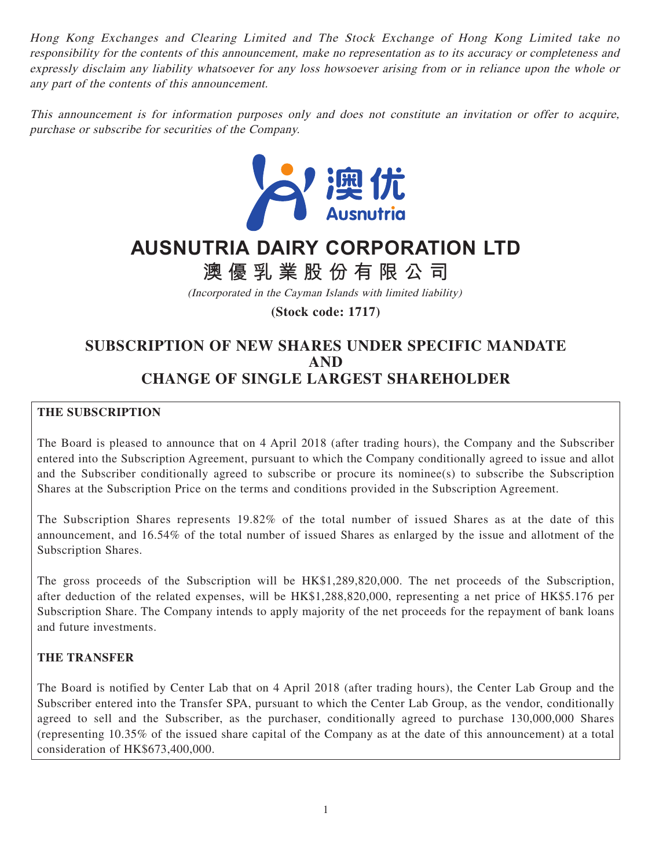Hong Kong Exchanges and Clearing Limited and The Stock Exchange of Hong Kong Limited take no responsibility for the contents of this announcement, make no representation as to its accuracy or completeness and expressly disclaim any liability whatsoever for any loss howsoever arising from or in reliance upon the whole or any part of the contents of this announcement.

This announcement is for information purposes only and does not constitute an invitation or offer to acquire, purchase or subscribe for securities of the Company.



# **AUSNUTRIA DAIRY CORPORATION LTD**

**澳優乳業股份有限公司**

(Incorporated in the Cayman Islands with limited liability)

**(Stock code: 1717)**

## **SUBSCRIPTION OF NEW SHARES UNDER SPECIFIC MANDATE AND CHANGE OF SINGLE LARGEST SHAREHOLDER**

## **THE SUBSCRIPTION**

The Board is pleased to announce that on 4 April 2018 (after trading hours), the Company and the Subscriber entered into the Subscription Agreement, pursuant to which the Company conditionally agreed to issue and allot and the Subscriber conditionally agreed to subscribe or procure its nominee(s) to subscribe the Subscription Shares at the Subscription Price on the terms and conditions provided in the Subscription Agreement.

The Subscription Shares represents 19.82% of the total number of issued Shares as at the date of this announcement, and 16.54% of the total number of issued Shares as enlarged by the issue and allotment of the Subscription Shares.

The gross proceeds of the Subscription will be HK\$1,289,820,000. The net proceeds of the Subscription, after deduction of the related expenses, will be HK\$1,288,820,000, representing a net price of HK\$5.176 per Subscription Share. The Company intends to apply majority of the net proceeds for the repayment of bank loans and future investments.

#### **THE TRANSFER**

The Board is notified by Center Lab that on 4 April 2018 (after trading hours), the Center Lab Group and the Subscriber entered into the Transfer SPA, pursuant to which the Center Lab Group, as the vendor, conditionally agreed to sell and the Subscriber, as the purchaser, conditionally agreed to purchase 130,000,000 Shares (representing 10.35% of the issued share capital of the Company as at the date of this announcement) at a total consideration of HK\$673,400,000.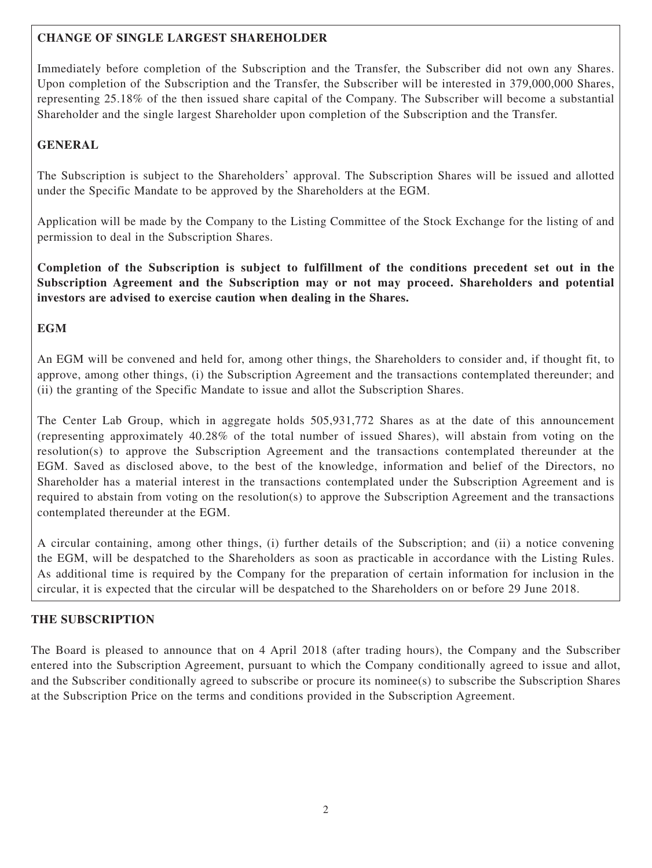## **CHANGE OF SINGLE LARGEST SHAREHOLDER**

Immediately before completion of the Subscription and the Transfer, the Subscriber did not own any Shares. Upon completion of the Subscription and the Transfer, the Subscriber will be interested in 379,000,000 Shares, representing 25.18% of the then issued share capital of the Company. The Subscriber will become a substantial Shareholder and the single largest Shareholder upon completion of the Subscription and the Transfer.

## **GENERAL**

The Subscription is subject to the Shareholders' approval. The Subscription Shares will be issued and allotted under the Specific Mandate to be approved by the Shareholders at the EGM.

Application will be made by the Company to the Listing Committee of the Stock Exchange for the listing of and permission to deal in the Subscription Shares.

**Completion of the Subscription is subject to fulfillment of the conditions precedent set out in the Subscription Agreement and the Subscription may or not may proceed. Shareholders and potential investors are advised to exercise caution when dealing in the Shares.**

## **EGM**

An EGM will be convened and held for, among other things, the Shareholders to consider and, if thought fit, to approve, among other things, (i) the Subscription Agreement and the transactions contemplated thereunder; and (ii) the granting of the Specific Mandate to issue and allot the Subscription Shares.

The Center Lab Group, which in aggregate holds 505,931,772 Shares as at the date of this announcement (representing approximately 40.28% of the total number of issued Shares), will abstain from voting on the resolution(s) to approve the Subscription Agreement and the transactions contemplated thereunder at the EGM. Saved as disclosed above, to the best of the knowledge, information and belief of the Directors, no Shareholder has a material interest in the transactions contemplated under the Subscription Agreement and is required to abstain from voting on the resolution(s) to approve the Subscription Agreement and the transactions contemplated thereunder at the EGM.

A circular containing, among other things, (i) further details of the Subscription; and (ii) a notice convening the EGM, will be despatched to the Shareholders as soon as practicable in accordance with the Listing Rules. As additional time is required by the Company for the preparation of certain information for inclusion in the circular, it is expected that the circular will be despatched to the Shareholders on or before 29 June 2018.

## **THE SUBSCRIPTION**

The Board is pleased to announce that on 4 April 2018 (after trading hours), the Company and the Subscriber entered into the Subscription Agreement, pursuant to which the Company conditionally agreed to issue and allot, and the Subscriber conditionally agreed to subscribe or procure its nominee(s) to subscribe the Subscription Shares at the Subscription Price on the terms and conditions provided in the Subscription Agreement.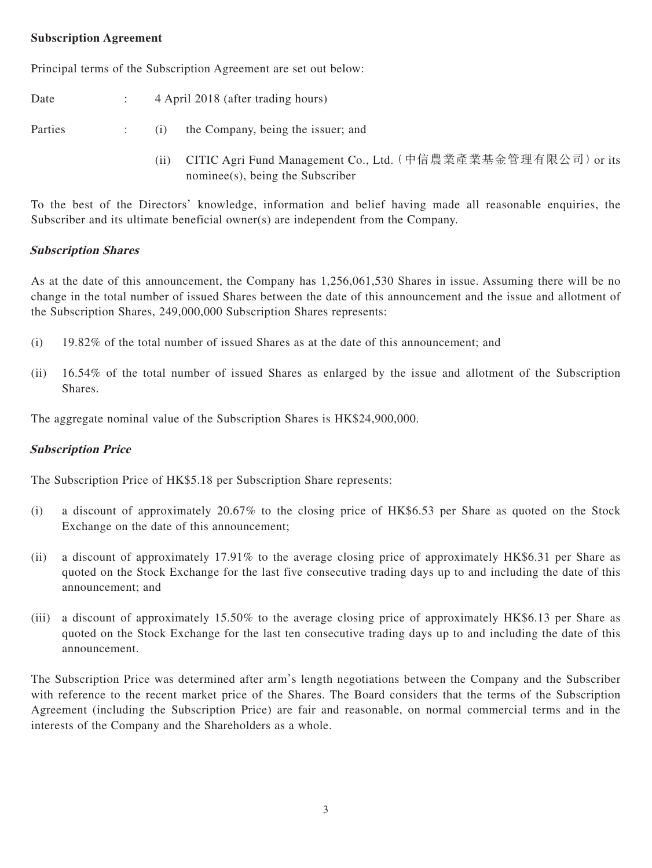#### **Subscription Agreement**

Principal terms of the Subscription Agreement are set out below:

Date : 4 April 2018 (after trading hours)

Parties : (i) the Company, being the issuer; and

(ii) CITIC Agri Fund Management Co., Ltd.(中信農業產業基金管理有限公司)or its nominee(s), being the Subscriber

To the best of the Directors' knowledge, information and belief having made all reasonable enquiries, the Subscriber and its ultimate beneficial owner(s) are independent from the Company.

#### **Subscription Shares**

As at the date of this announcement, the Company has 1,256,061,530 Shares in issue. Assuming there will be no change in the total number of issued Shares between the date of this announcement and the issue and allotment of the Subscription Shares, 249,000,000 Subscription Shares represents:

- (i) 19.82% of the total number of issued Shares as at the date of this announcement; and
- (ii) 16.54% of the total number of issued Shares as enlarged by the issue and allotment of the Subscription Shares.

The aggregate nominal value of the Subscription Shares is HK\$24,900,000.

#### **Subscription Price**

The Subscription Price of HK\$5.18 per Subscription Share represents:

- (i) a discount of approximately 20.67% to the closing price of HK\$6.53 per Share as quoted on the Stock Exchange on the date of this announcement;
- (ii) a discount of approximately 17.91% to the average closing price of approximately HK\$6.31 per Share as quoted on the Stock Exchange for the last five consecutive trading days up to and including the date of this announcement; and
- (iii) a discount of approximately 15.50% to the average closing price of approximately HK\$6.13 per Share as quoted on the Stock Exchange for the last ten consecutive trading days up to and including the date of this announcement.

The Subscription Price was determined after arm's length negotiations between the Company and the Subscriber with reference to the recent market price of the Shares. The Board considers that the terms of the Subscription Agreement (including the Subscription Price) are fair and reasonable, on normal commercial terms and in the interests of the Company and the Shareholders as a whole.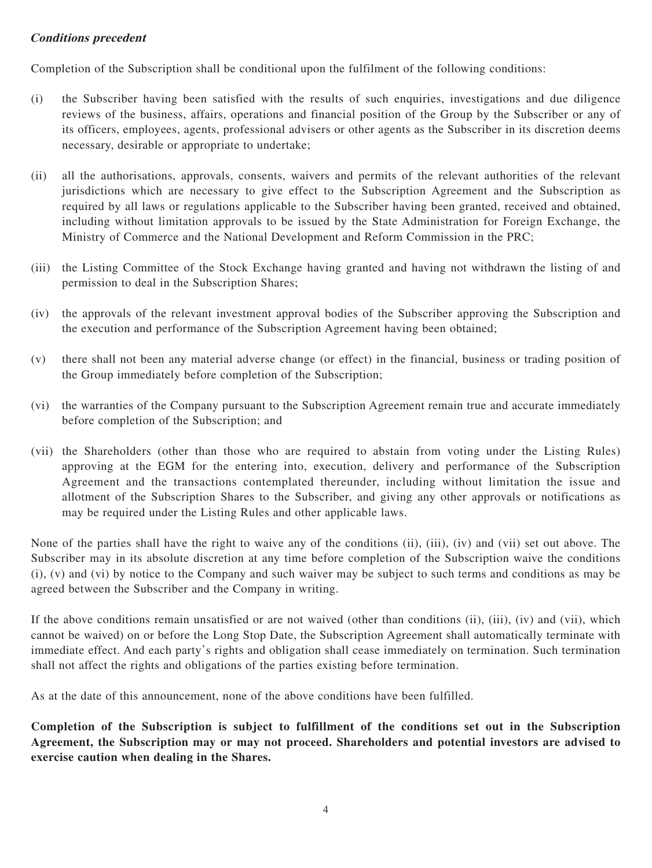#### **Conditions precedent**

Completion of the Subscription shall be conditional upon the fulfilment of the following conditions:

- (i) the Subscriber having been satisfied with the results of such enquiries, investigations and due diligence reviews of the business, affairs, operations and financial position of the Group by the Subscriber or any of its officers, employees, agents, professional advisers or other agents as the Subscriber in its discretion deems necessary, desirable or appropriate to undertake;
- (ii) all the authorisations, approvals, consents, waivers and permits of the relevant authorities of the relevant jurisdictions which are necessary to give effect to the Subscription Agreement and the Subscription as required by all laws or regulations applicable to the Subscriber having been granted, received and obtained, including without limitation approvals to be issued by the State Administration for Foreign Exchange, the Ministry of Commerce and the National Development and Reform Commission in the PRC;
- (iii) the Listing Committee of the Stock Exchange having granted and having not withdrawn the listing of and permission to deal in the Subscription Shares;
- (iv) the approvals of the relevant investment approval bodies of the Subscriber approving the Subscription and the execution and performance of the Subscription Agreement having been obtained;
- (v) there shall not been any material adverse change (or effect) in the financial, business or trading position of the Group immediately before completion of the Subscription;
- (vi) the warranties of the Company pursuant to the Subscription Agreement remain true and accurate immediately before completion of the Subscription; and
- (vii) the Shareholders (other than those who are required to abstain from voting under the Listing Rules) approving at the EGM for the entering into, execution, delivery and performance of the Subscription Agreement and the transactions contemplated thereunder, including without limitation the issue and allotment of the Subscription Shares to the Subscriber, and giving any other approvals or notifications as may be required under the Listing Rules and other applicable laws.

None of the parties shall have the right to waive any of the conditions (ii), (iii), (iv) and (vii) set out above. The Subscriber may in its absolute discretion at any time before completion of the Subscription waive the conditions (i), (v) and (vi) by notice to the Company and such waiver may be subject to such terms and conditions as may be agreed between the Subscriber and the Company in writing.

If the above conditions remain unsatisfied or are not waived (other than conditions (ii), (iii), (iv) and (vii), which cannot be waived) on or before the Long Stop Date, the Subscription Agreement shall automatically terminate with immediate effect. And each party's rights and obligation shall cease immediately on termination. Such termination shall not affect the rights and obligations of the parties existing before termination.

As at the date of this announcement, none of the above conditions have been fulfilled.

**Completion of the Subscription is subject to fulfillment of the conditions set out in the Subscription Agreement, the Subscription may or may not proceed. Shareholders and potential investors are advised to exercise caution when dealing in the Shares.**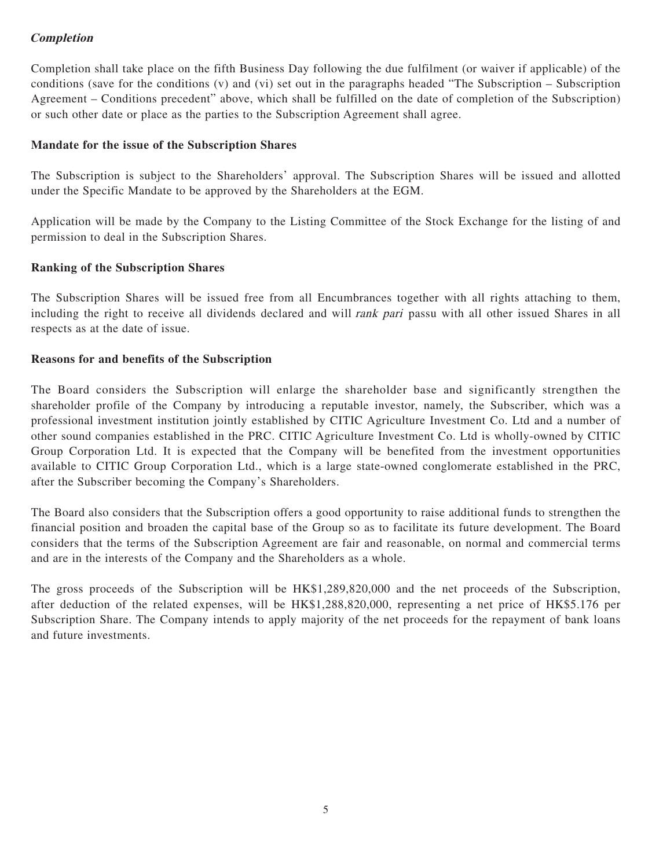## **Completion**

Completion shall take place on the fifth Business Day following the due fulfilment (or waiver if applicable) of the conditions (save for the conditions (v) and (vi) set out in the paragraphs headed "The Subscription – Subscription Agreement – Conditions precedent" above, which shall be fulfilled on the date of completion of the Subscription) or such other date or place as the parties to the Subscription Agreement shall agree.

#### **Mandate for the issue of the Subscription Shares**

The Subscription is subject to the Shareholders' approval. The Subscription Shares will be issued and allotted under the Specific Mandate to be approved by the Shareholders at the EGM.

Application will be made by the Company to the Listing Committee of the Stock Exchange for the listing of and permission to deal in the Subscription Shares.

#### **Ranking of the Subscription Shares**

The Subscription Shares will be issued free from all Encumbrances together with all rights attaching to them, including the right to receive all dividends declared and will rank pari passu with all other issued Shares in all respects as at the date of issue.

#### **Reasons for and benefits of the Subscription**

The Board considers the Subscription will enlarge the shareholder base and significantly strengthen the shareholder profile of the Company by introducing a reputable investor, namely, the Subscriber, which was a professional investment institution jointly established by CITIC Agriculture Investment Co. Ltd and a number of other sound companies established in the PRC. CITIC Agriculture Investment Co. Ltd is wholly-owned by CITIC Group Corporation Ltd. It is expected that the Company will be benefited from the investment opportunities available to CITIC Group Corporation Ltd., which is a large state-owned conglomerate established in the PRC, after the Subscriber becoming the Company's Shareholders.

The Board also considers that the Subscription offers a good opportunity to raise additional funds to strengthen the financial position and broaden the capital base of the Group so as to facilitate its future development. The Board considers that the terms of the Subscription Agreement are fair and reasonable, on normal and commercial terms and are in the interests of the Company and the Shareholders as a whole.

The gross proceeds of the Subscription will be HK\$1,289,820,000 and the net proceeds of the Subscription, after deduction of the related expenses, will be HK\$1,288,820,000, representing a net price of HK\$5.176 per Subscription Share. The Company intends to apply majority of the net proceeds for the repayment of bank loans and future investments.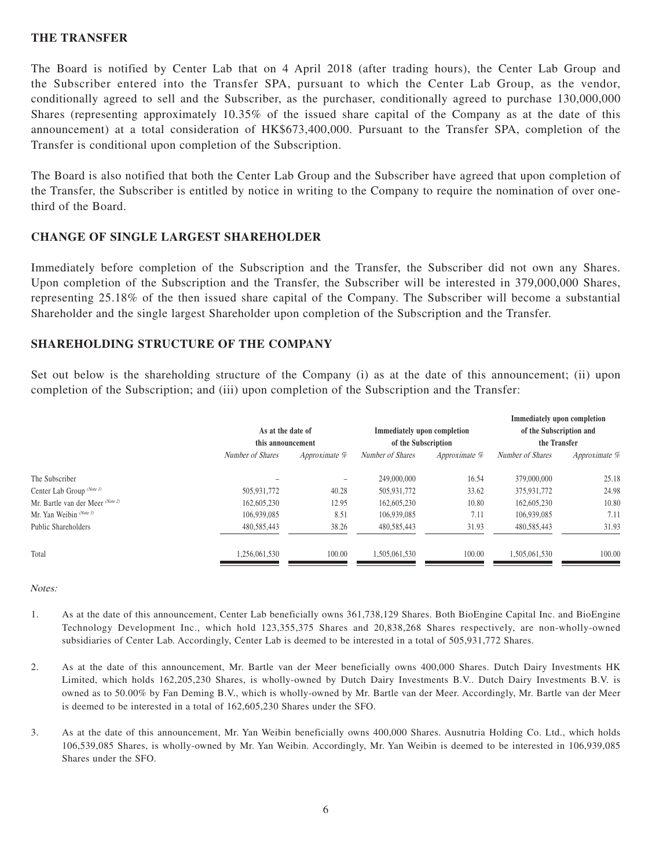#### **THE TRANSFER**

The Board is notified by Center Lab that on 4 April 2018 (after trading hours), the Center Lab Group and the Subscriber entered into the Transfer SPA, pursuant to which the Center Lab Group, as the vendor, conditionally agreed to sell and the Subscriber, as the purchaser, conditionally agreed to purchase 130,000,000 Shares (representing approximately 10.35% of the issued share capital of the Company as at the date of this announcement) at a total consideration of HK\$673,400,000. Pursuant to the Transfer SPA, completion of the Transfer is conditional upon completion of the Subscription.

The Board is also notified that both the Center Lab Group and the Subscriber have agreed that upon completion of the Transfer, the Subscriber is entitled by notice in writing to the Company to require the nomination of over onethird of the Board.

#### **CHANGE OF SINGLE LARGEST SHAREHOLDER**

Immediately before completion of the Subscription and the Transfer, the Subscriber did not own any Shares. Upon completion of the Subscription and the Transfer, the Subscriber will be interested in 379,000,000 Shares, representing 25.18% of the then issued share capital of the Company. The Subscriber will become a substantial Shareholder and the single largest Shareholder upon completion of the Subscription and the Transfer.

#### **SHAREHOLDING STRUCTURE OF THE COMPANY**

Set out below is the shareholding structure of the Company (i) as at the date of this announcement; (ii) upon completion of the Subscription; and (iii) upon completion of the Subscription and the Transfer:

|                                        |        |                                                    |        | Immediately upon completion             |        |
|----------------------------------------|--------|----------------------------------------------------|--------|-----------------------------------------|--------|
| As at the date of<br>this announcement |        | Immediately upon completion<br>of the Subscription |        | of the Subscription and<br>the Transfer |        |
|                                        |        |                                                    |        |                                         |        |
|                                        |        | 249,000,000                                        | 16.54  | 379,000,000                             | 25.18  |
| 505,931,772                            | 40.28  | 505,931,772                                        | 33.62  | 375,931,772                             | 24.98  |
| 162,605,230                            | 12.95  | 162,605,230                                        | 10.80  | 162,605,230                             | 10.80  |
| 106.939.085                            | 8.51   | 106,939,085                                        | 7.11   | 106.939.085                             | 7.11   |
| 480,585,443                            | 38.26  | 480,585,443                                        | 31.93  | 480,585,443                             | 31.93  |
| 1.256.061.530                          | 100.00 | 1.505.061.530                                      | 100.00 | 1.505.061.530                           | 100.00 |
|                                        |        |                                                    |        |                                         |        |

Notes:

- 1. As at the date of this announcement, Center Lab beneficially owns 361,738,129 Shares. Both BioEngine Capital Inc. and BioEngine Technology Development Inc., which hold 123,355,375 Shares and 20,838,268 Shares respectively, are non-wholly-owned subsidiaries of Center Lab. Accordingly, Center Lab is deemed to be interested in a total of 505,931,772 Shares.
- 2. As at the date of this announcement, Mr. Bartle van der Meer beneficially owns 400,000 Shares. Dutch Dairy Investments HK Limited, which holds 162,205,230 Shares, is wholly-owned by Dutch Dairy Investments B.V.. Dutch Dairy Investments B.V. is owned as to 50.00% by Fan Deming B.V., which is wholly-owned by Mr. Bartle van der Meer. Accordingly, Mr. Bartle van der Meer is deemed to be interested in a total of 162,605,230 Shares under the SFO.
- 3. As at the date of this announcement, Mr. Yan Weibin beneficially owns 400,000 Shares. Ausnutria Holding Co. Ltd., which holds 106,539,085 Shares, is wholly-owned by Mr. Yan Weibin. Accordingly, Mr. Yan Weibin is deemed to be interested in 106,939,085 Shares under the SFO.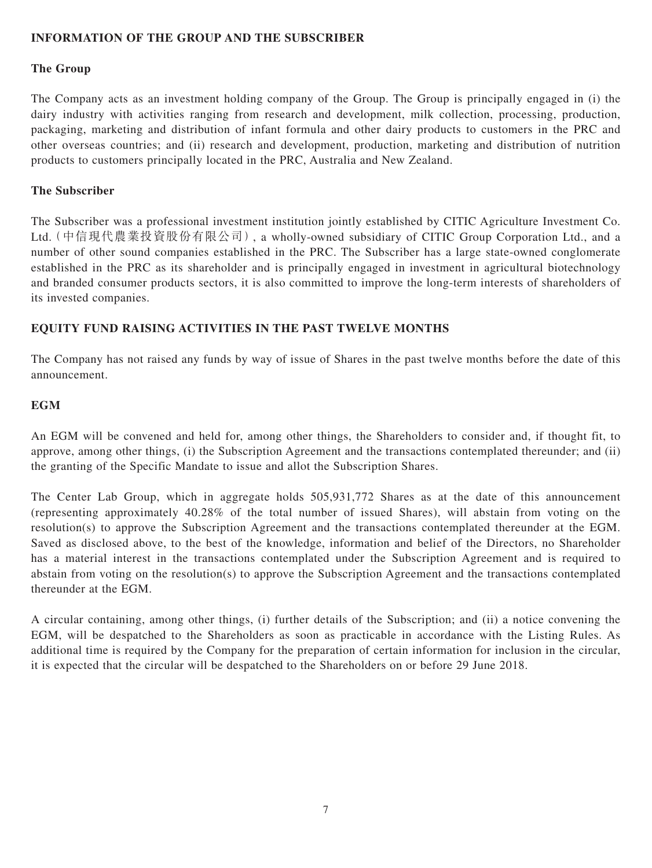#### **INFORMATION OF THE GROUP AND THE SUBSCRIBER**

#### **The Group**

The Company acts as an investment holding company of the Group. The Group is principally engaged in (i) the dairy industry with activities ranging from research and development, milk collection, processing, production, packaging, marketing and distribution of infant formula and other dairy products to customers in the PRC and other overseas countries; and (ii) research and development, production, marketing and distribution of nutrition products to customers principally located in the PRC, Australia and New Zealand.

#### **The Subscriber**

The Subscriber was a professional investment institution jointly established by CITIC Agriculture Investment Co. Ltd.(中信現代農業投資股份有限公司), a wholly-owned subsidiary of CITIC Group Corporation Ltd., and a number of other sound companies established in the PRC. The Subscriber has a large state-owned conglomerate established in the PRC as its shareholder and is principally engaged in investment in agricultural biotechnology and branded consumer products sectors, it is also committed to improve the long-term interests of shareholders of its invested companies.

#### **EQUITY FUND RAISING ACTIVITIES IN THE PAST TWELVE MONTHS**

The Company has not raised any funds by way of issue of Shares in the past twelve months before the date of this announcement.

#### **EGM**

An EGM will be convened and held for, among other things, the Shareholders to consider and, if thought fit, to approve, among other things, (i) the Subscription Agreement and the transactions contemplated thereunder; and (ii) the granting of the Specific Mandate to issue and allot the Subscription Shares.

The Center Lab Group, which in aggregate holds 505,931,772 Shares as at the date of this announcement (representing approximately 40.28% of the total number of issued Shares), will abstain from voting on the resolution(s) to approve the Subscription Agreement and the transactions contemplated thereunder at the EGM. Saved as disclosed above, to the best of the knowledge, information and belief of the Directors, no Shareholder has a material interest in the transactions contemplated under the Subscription Agreement and is required to abstain from voting on the resolution(s) to approve the Subscription Agreement and the transactions contemplated thereunder at the EGM.

A circular containing, among other things, (i) further details of the Subscription; and (ii) a notice convening the EGM, will be despatched to the Shareholders as soon as practicable in accordance with the Listing Rules. As additional time is required by the Company for the preparation of certain information for inclusion in the circular, it is expected that the circular will be despatched to the Shareholders on or before 29 June 2018.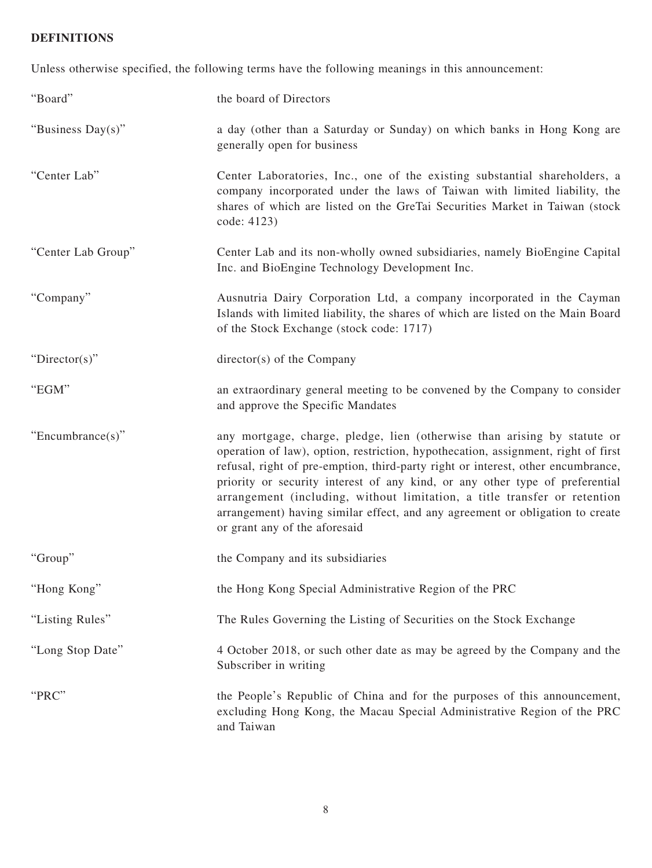# **DEFINITIONS**

Unless otherwise specified, the following terms have the following meanings in this announcement:

| "Board"            | the board of Directors                                                                                                                                                                                                                                                                                                                                                                                                                                                                                                           |
|--------------------|----------------------------------------------------------------------------------------------------------------------------------------------------------------------------------------------------------------------------------------------------------------------------------------------------------------------------------------------------------------------------------------------------------------------------------------------------------------------------------------------------------------------------------|
| "Business Day(s)"  | a day (other than a Saturday or Sunday) on which banks in Hong Kong are<br>generally open for business                                                                                                                                                                                                                                                                                                                                                                                                                           |
| "Center Lab"       | Center Laboratories, Inc., one of the existing substantial shareholders, a<br>company incorporated under the laws of Taiwan with limited liability, the<br>shares of which are listed on the GreTai Securities Market in Taiwan (stock<br>code: 4123)                                                                                                                                                                                                                                                                            |
| "Center Lab Group" | Center Lab and its non-wholly owned subsidiaries, namely BioEngine Capital<br>Inc. and BioEngine Technology Development Inc.                                                                                                                                                                                                                                                                                                                                                                                                     |
| "Company"          | Ausnutria Dairy Corporation Ltd, a company incorporated in the Cayman<br>Islands with limited liability, the shares of which are listed on the Main Board<br>of the Stock Exchange (stock code: 1717)                                                                                                                                                                                                                                                                                                                            |
| " $Directory$ "    | $\text{directory}(s)$ of the Company                                                                                                                                                                                                                                                                                                                                                                                                                                                                                             |
| "EGM"              | an extraordinary general meeting to be convened by the Company to consider<br>and approve the Specific Mandates                                                                                                                                                                                                                                                                                                                                                                                                                  |
| "Encumbrance(s)"   | any mortgage, charge, pledge, lien (otherwise than arising by statute or<br>operation of law), option, restriction, hypothecation, assignment, right of first<br>refusal, right of pre-emption, third-party right or interest, other encumbrance,<br>priority or security interest of any kind, or any other type of preferential<br>arrangement (including, without limitation, a title transfer or retention<br>arrangement) having similar effect, and any agreement or obligation to create<br>or grant any of the aforesaid |
| "Group"            | the Company and its subsidiaries                                                                                                                                                                                                                                                                                                                                                                                                                                                                                                 |
| "Hong Kong"        | the Hong Kong Special Administrative Region of the PRC                                                                                                                                                                                                                                                                                                                                                                                                                                                                           |
| "Listing Rules"    | The Rules Governing the Listing of Securities on the Stock Exchange                                                                                                                                                                                                                                                                                                                                                                                                                                                              |
| "Long Stop Date"   | 4 October 2018, or such other date as may be agreed by the Company and the<br>Subscriber in writing                                                                                                                                                                                                                                                                                                                                                                                                                              |
| "PRC"              | the People's Republic of China and for the purposes of this announcement,<br>excluding Hong Kong, the Macau Special Administrative Region of the PRC<br>and Taiwan                                                                                                                                                                                                                                                                                                                                                               |